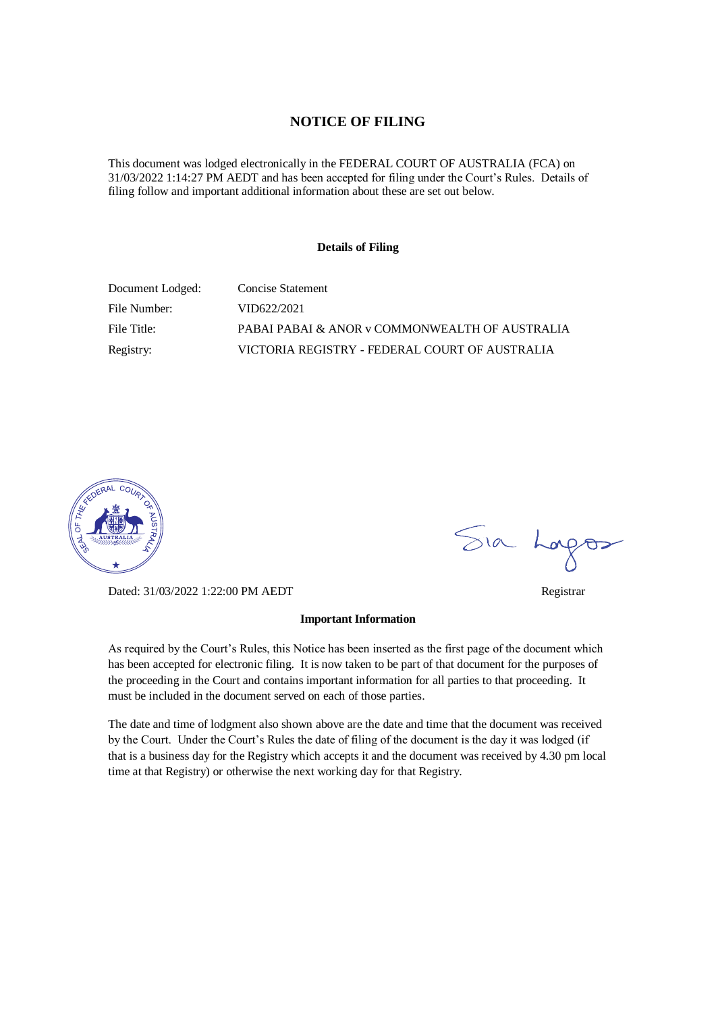#### **NOTICE OF FILING**

This document was lodged electronically in the FEDERAL COURT OF AUSTRALIA (FCA) on 31/03/2022 1:14:27 PM AEDT and has been accepted for filing under the Court's Rules. Details of filing follow and important additional information about these are set out below.

#### **Details of Filing**

| Document Lodged: | Concise Statement                              |
|------------------|------------------------------------------------|
| File Number:     | VID622/2021                                    |
| File Title:      | PABAI PABAI & ANOR y COMMONWEALTH OF AUSTRALIA |
| Registry:        | VICTORIA REGISTRY - FEDERAL COURT OF AUSTRALIA |



Dated: 31/03/2022 1:22:00 PM AEDT Registrar

#### **Important Information**

As required by the Court's Rules, this Notice has been inserted as the first page of the document which has been accepted for electronic filing. It is now taken to be part of that document for the purposes of the proceeding in the Court and contains important information for all parties to that proceeding. It must be included in the document served on each of those parties.

The date and time of lodgment also shown above are the date and time that the document was received by the Court. Under the Court's Rules the date of filing of the document is the day it was lodged (if that is a business day for the Registry which accepts it and the document was received by 4.30 pm local time at that Registry) or otherwise the next working day for that Registry.

Sia Logos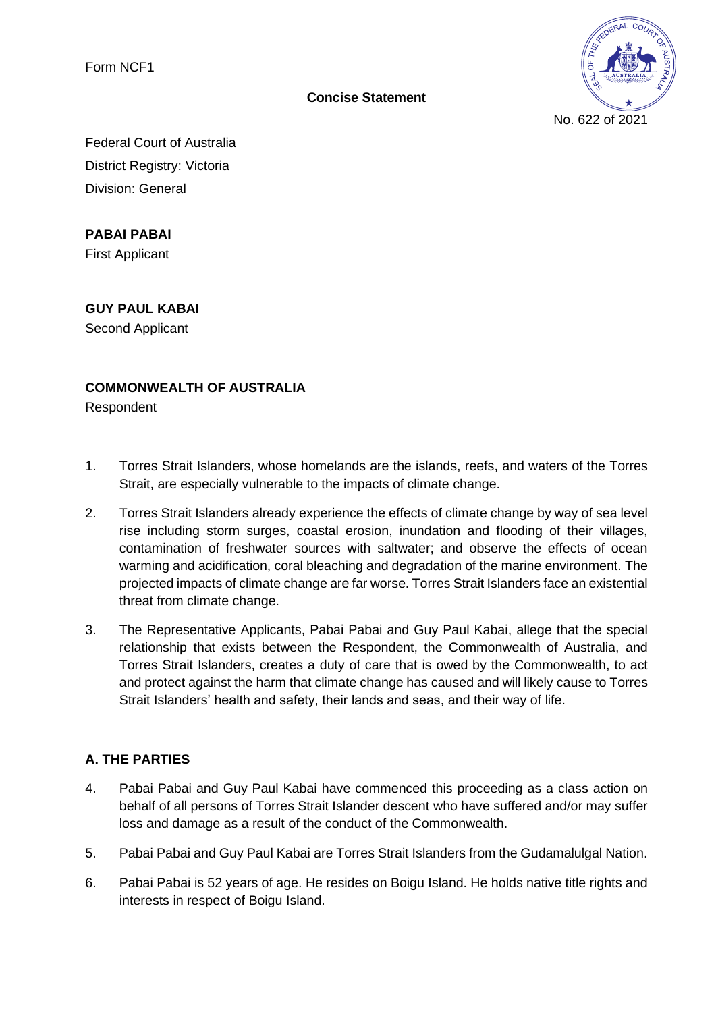Form NCF1



**Concise Statement**

Federal Court of Australia District Registry: Victoria Division: General

**PABAI PABAI**

First Applicant

**GUY PAUL KABAI**

Second Applicant

## **COMMONWEALTH OF AUSTRALIA**

Respondent

- 1. Torres Strait Islanders, whose homelands are the islands, reefs, and waters of the Torres Strait, are especially vulnerable to the impacts of climate change.
- 2. Torres Strait Islanders already experience the effects of climate change by way of sea level rise including storm surges, coastal erosion, inundation and flooding of their villages, contamination of freshwater sources with saltwater; and observe the effects of ocean warming and acidification, coral bleaching and degradation of the marine environment. The projected impacts of climate change are far worse. Torres Strait Islanders face an existential threat from climate change.
- 3. The Representative Applicants, Pabai Pabai and Guy Paul Kabai, allege that the special relationship that exists between the Respondent, the Commonwealth of Australia, and Torres Strait Islanders, creates a duty of care that is owed by the Commonwealth, to act and protect against the harm that climate change has caused and will likely cause to Torres Strait Islanders' health and safety, their lands and seas, and their way of life.

## **A. THE PARTIES**

- 4. Pabai Pabai and Guy Paul Kabai have commenced this proceeding as a class action on behalf of all persons of Torres Strait Islander descent who have suffered and/or may suffer loss and damage as a result of the conduct of the Commonwealth.
- 5. Pabai Pabai and Guy Paul Kabai are Torres Strait Islanders from the Gudamalulgal Nation.
- 6. Pabai Pabai is 52 years of age. He resides on Boigu Island. He holds native title rights and interests in respect of Boigu Island.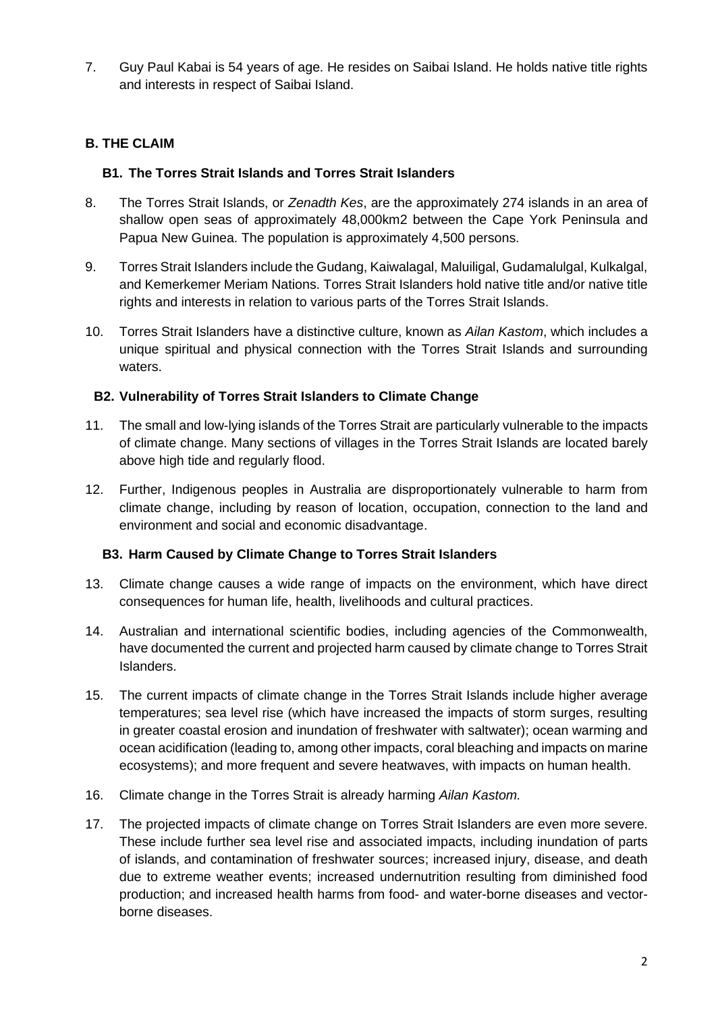7. Guy Paul Kabai is 54 years of age. He resides on Saibai Island. He holds native title rights and interests in respect of Saibai Island.

## **B. THE CLAIM**

#### **B1. The Torres Strait Islands and Torres Strait Islanders**

- 8. The Torres Strait Islands, or *Zenadth Kes*, are the approximately 274 islands in an area of shallow open seas of approximately 48,000km2 between the Cape York Peninsula and Papua New Guinea. The population is approximately 4,500 persons.
- 9. Torres Strait Islanders include the Gudang, Kaiwalagal, Maluiligal, Gudamalulgal, Kulkalgal, and Kemerkemer Meriam Nations. Torres Strait Islanders hold native title and/or native title rights and interests in relation to various parts of the Torres Strait Islands.
- 10. Torres Strait Islanders have a distinctive culture, known as *Ailan Kastom*, which includes a unique spiritual and physical connection with the Torres Strait Islands and surrounding waters.

#### **B2. Vulnerability of Torres Strait Islanders to Climate Change**

- 11. The small and low-lying islands of the Torres Strait are particularly vulnerable to the impacts of climate change. Many sections of villages in the Torres Strait Islands are located barely above high tide and regularly flood.
- 12. Further, Indigenous peoples in Australia are disproportionately vulnerable to harm from climate change, including by reason of location, occupation, connection to the land and environment and social and economic disadvantage.

#### **B3. Harm Caused by Climate Change to Torres Strait Islanders**

- 13. Climate change causes a wide range of impacts on the environment, which have direct consequences for human life, health, livelihoods and cultural practices.
- 14. Australian and international scientific bodies, including agencies of the Commonwealth, have documented the current and projected harm caused by climate change to Torres Strait Islanders.
- 15. The current impacts of climate change in the Torres Strait Islands include higher average temperatures; sea level rise (which have increased the impacts of storm surges, resulting in greater coastal erosion and inundation of freshwater with saltwater); ocean warming and ocean acidification (leading to, among other impacts, coral bleaching and impacts on marine ecosystems); and more frequent and severe heatwaves, with impacts on human health.
- 16. Climate change in the Torres Strait is already harming *Ailan Kastom.*
- 17. The projected impacts of climate change on Torres Strait Islanders are even more severe. These include further sea level rise and associated impacts, including inundation of parts of islands, and contamination of freshwater sources; increased injury, disease, and death due to extreme weather events; increased undernutrition resulting from diminished food production; and increased health harms from food- and water-borne diseases and vectorborne diseases.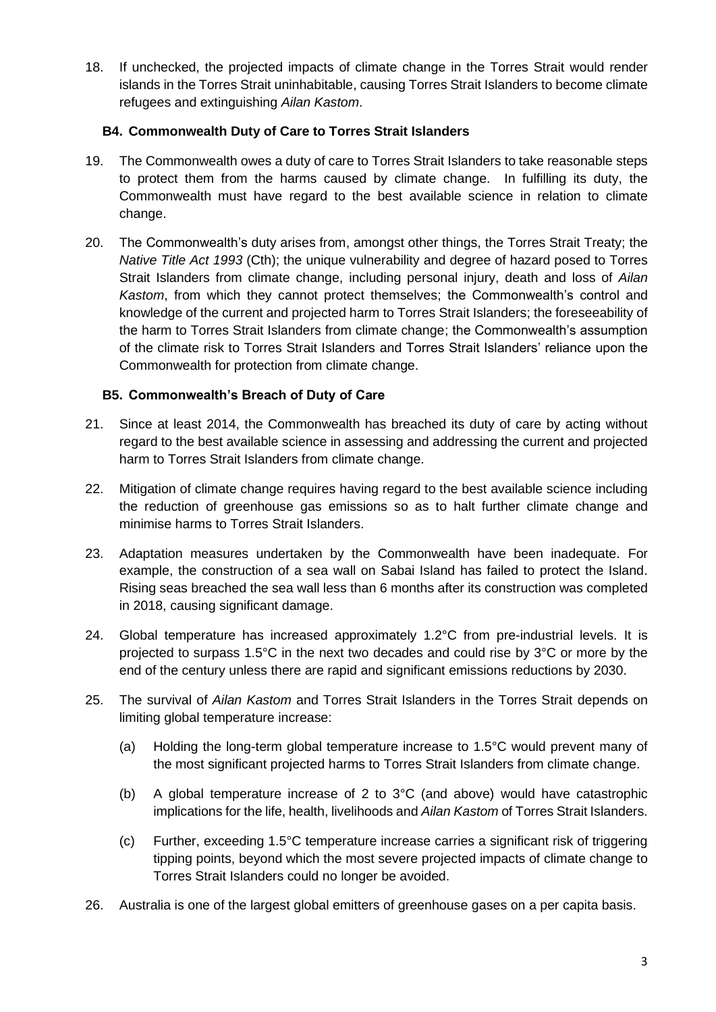18. If unchecked, the projected impacts of climate change in the Torres Strait would render islands in the Torres Strait uninhabitable, causing Torres Strait Islanders to become climate refugees and extinguishing *Ailan Kastom*.

## **B4. Commonwealth Duty of Care to Torres Strait Islanders**

- 19. The Commonwealth owes a duty of care to Torres Strait Islanders to take reasonable steps to protect them from the harms caused by climate change. In fulfilling its duty, the Commonwealth must have regard to the best available science in relation to climate change.
- 20. The Commonwealth's duty arises from, amongst other things, the Torres Strait Treaty; the *Native Title Act 1993* (Cth); the unique vulnerability and degree of hazard posed to Torres Strait Islanders from climate change, including personal injury, death and loss of *Ailan Kastom*, from which they cannot protect themselves; the Commonwealth's control and knowledge of the current and projected harm to Torres Strait Islanders; the foreseeability of the harm to Torres Strait Islanders from climate change; the Commonwealth's assumption of the climate risk to Torres Strait Islanders and Torres Strait Islanders' reliance upon the Commonwealth for protection from climate change.

## **B5. Commonwealth's Breach of Duty of Care**

- 21. Since at least 2014, the Commonwealth has breached its duty of care by acting without regard to the best available science in assessing and addressing the current and projected harm to Torres Strait Islanders from climate change.
- 22. Mitigation of climate change requires having regard to the best available science including the reduction of greenhouse gas emissions so as to halt further climate change and minimise harms to Torres Strait Islanders.
- 23. Adaptation measures undertaken by the Commonwealth have been inadequate. For example, the construction of a sea wall on Sabai Island has failed to protect the Island. Rising seas breached the sea wall less than 6 months after its construction was completed in 2018, causing significant damage.
- 24. Global temperature has increased approximately 1.2°C from pre-industrial levels. It is projected to surpass 1.5°C in the next two decades and could rise by 3°C or more by the end of the century unless there are rapid and significant emissions reductions by 2030.
- 25. The survival of *Ailan Kastom* and Torres Strait Islanders in the Torres Strait depends on limiting global temperature increase:
	- (a) Holding the long-term global temperature increase to 1.5°C would prevent many of the most significant projected harms to Torres Strait Islanders from climate change.
	- (b) A global temperature increase of 2 to 3°C (and above) would have catastrophic implications for the life, health, livelihoods and *Ailan Kastom* of Torres Strait Islanders.
	- (c) Further, exceeding 1.5°C temperature increase carries a significant risk of triggering tipping points, beyond which the most severe projected impacts of climate change to Torres Strait Islanders could no longer be avoided.
- 26. Australia is one of the largest global emitters of greenhouse gases on a per capita basis.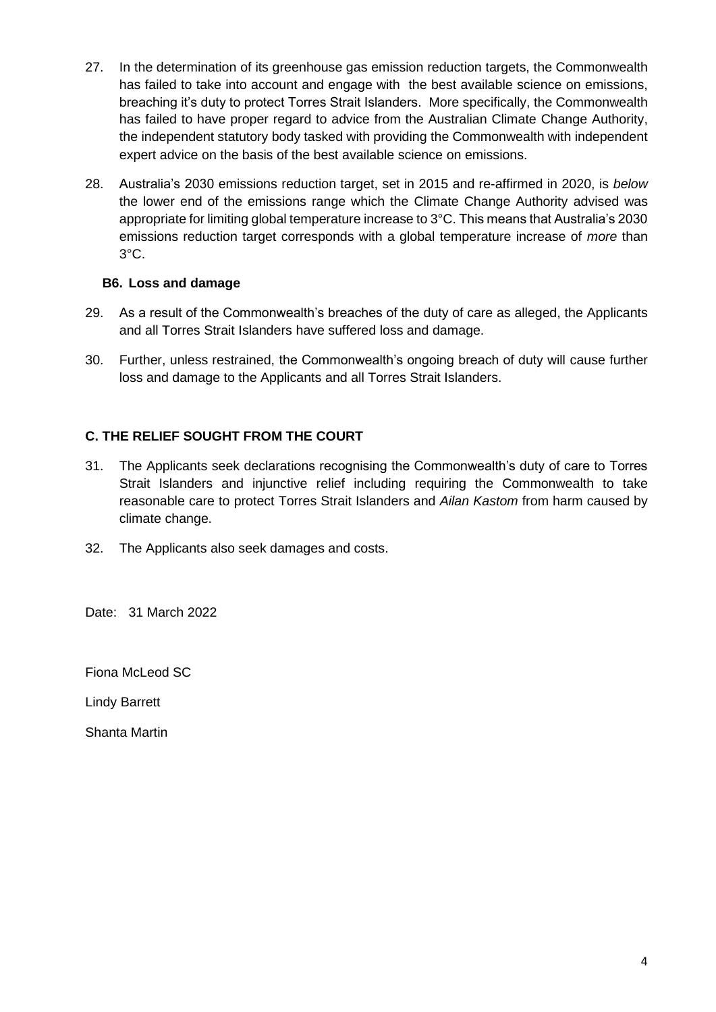- 27. In the determination of its greenhouse gas emission reduction targets, the Commonwealth has failed to take into account and engage with the best available science on emissions, breaching it's duty to protect Torres Strait Islanders. More specifically, the Commonwealth has failed to have proper regard to advice from the Australian Climate Change Authority, the independent statutory body tasked with providing the Commonwealth with independent expert advice on the basis of the best available science on emissions.
- 28. Australia's 2030 emissions reduction target, set in 2015 and re-affirmed in 2020, is *below* the lower end of the emissions range which the Climate Change Authority advised was appropriate for limiting global temperature increase to 3°C. This means that Australia's 2030 emissions reduction target corresponds with a global temperature increase of *more* than 3°C.

## **B6. Loss and damage**

- 29. As a result of the Commonwealth's breaches of the duty of care as alleged, the Applicants and all Torres Strait Islanders have suffered loss and damage.
- 30. Further, unless restrained, the Commonwealth's ongoing breach of duty will cause further loss and damage to the Applicants and all Torres Strait Islanders.

# **C. THE RELIEF SOUGHT FROM THE COURT**

- 31. The Applicants seek declarations recognising the Commonwealth's duty of care to Torres Strait Islanders and injunctive relief including requiring the Commonwealth to take reasonable care to protect Torres Strait Islanders and *Ailan Kastom* from harm caused by climate change.
- 32. The Applicants also seek damages and costs.

Date: 31 March 2022

Fiona McLeod SC

Lindy Barrett

Shanta Martin